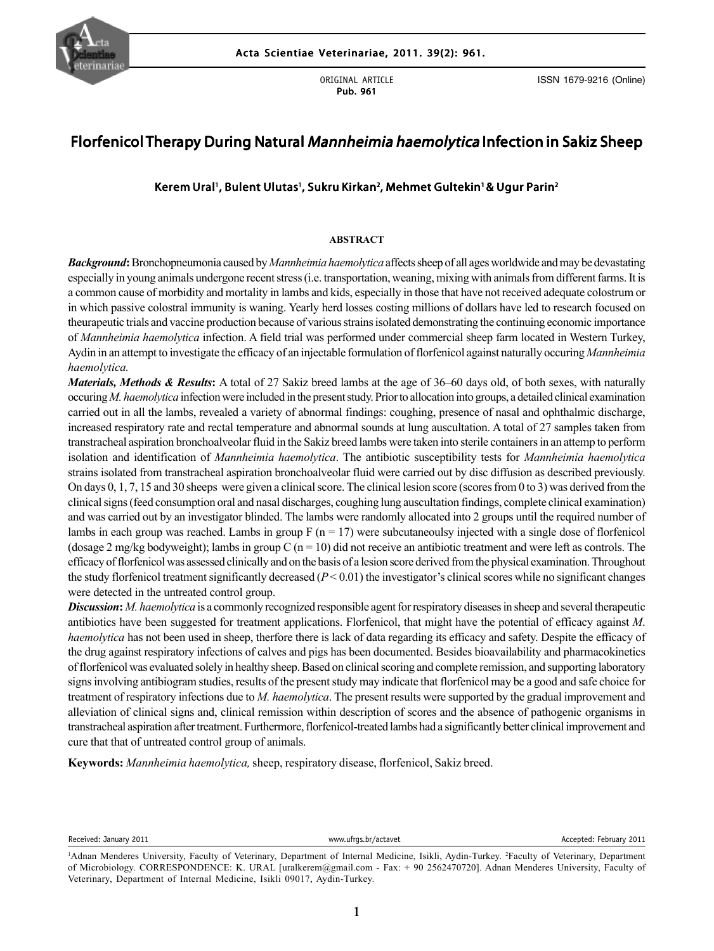

ORIGINAL ARTICLE Pub. 961

ISSN 1679-9216 (Online)

# Florfenicol Therapy During Natural Mannheimia haemolytica Infection in Sakiz Sheep

# Kerem Ural', Bulent Ulutas', Sukru Kirkan<sup>2</sup>, Mehmet Gultekin' & Ugur Parin<sup>2</sup>

#### **ABSTRACT**

*Background***:** Bronchopneumonia caused by *Mannheimia haemolytica* affects sheep of all ages worldwide and may be devastating especially in young animals undergone recent stress (i.e. transportation, weaning, mixing with animals from different farms. It is a common cause of morbidity and mortality in lambs and kids, especially in those that have not received adequate colostrum or in which passive colostral immunity is waning. Yearly herd losses costing millions of dollars have led to research focused on theurapeutic trials and vaccine production because of various strains isolated demonstrating the continuing economic importance of *Mannheimia haemolytica* infection. A field trial was performed under commercial sheep farm located in Western Turkey, Aydin in an attempt to investigate the efficacy of an injectable formulation of florfenicol against naturally occuring *Mannheimia haemolytica.*

On days 0, 1, 7, 15 and 30 sheeps were given a clinical score. The clinical lesion score (scores from 0 to 3) was derived from the *Materials, Methods & Results***:** A total of 27 Sakiz breed lambs at the age of 36–60 days old, of both sexes, with naturally occuring *M. haemolytica* infection were included in the present study. Prior to allocation into groups, a detailed clinical examination carried out in all the lambs, revealed a variety of abnormal findings: coughing, presence of nasal and ophthalmic discharge, increased respiratory rate and rectal temperature and abnormal sounds at lung auscultation. A total of 27 samples taken from transtracheal aspiration bronchoalveolar fluid in the Sakiz breed lambs were taken into sterile containers in an attemp to perform isolation and identification of *Mannheimia haemolytica*. The antibiotic susceptibility tests for *Mannheimia haemolytica* strains isolated from transtracheal aspiration bronchoalveolar fluid were carried out by disc diffusion as described previously. clinical signs (feed consumption oral and nasal discharges, coughing lung auscultation findings, complete clinical examination) and was carried out by an investigator blinded. The lambs were randomly allocated into 2 groups until the required number of lambs in each group was reached. Lambs in group  $F(n = 17)$  were subcutaneoulsy injected with a single dose of florfenicol (dosage 2 mg/kg bodyweight); lambs in group C  $(n = 10)$  did not receive an antibiotic treatment and were left as controls. The efficacy of florfenicol was assessed clinically and on the basis of a lesion score derived from the physical examination. Throughout the study florfenicol treatment significantly decreased (*P* < 0.01) the investigator's clinical scores while no significant changes were detected in the untreated control group.

*Discussion: M. haemolytica* is a commonly recognized responsible agent for respiratory diseases in sheep and several therapeutic antibiotics have been suggested for treatment applications. Florfenicol, that might have the potential of efficacy against *M*. *haemolytica* has not been used in sheep, therfore there is lack of data regarding its efficacy and safety. Despite the efficacy of the drug against respiratory infections of calves and pigs has been documented. Besides bioavailability and pharmacokinetics of florfenicol was evaluated solely in healthy sheep. Based on clinical scoring and complete remission, and supporting laboratory signs involving antibiogram studies, results of the present study may indicate that florfenicol may be a good and safe choice for treatment of respiratory infections due to *M. haemolytica*. The present results were supported by the gradual improvement and alleviation of clinical signs and, clinical remission within description of scores and the absence of pathogenic organisms in transtracheal aspiration after treatment. Furthermore, florfenicol-treated lambs had a significantly better clinical improvement and cure that that of untreated control group of animals.

**Keywords:** *Mannheimia haemolytica,* sheep, respiratory disease, florfenicol, Sakiz breed.

Received: January 2011 www.ufrgs.br/actavet Accepted: February 2011

<sup>&</sup>lt;sup>1</sup>Adnan Menderes University, Faculty of Veterinary, Department of Internal Medicine, Isikli, Aydin-Turkey. <sup>2</sup>Faculty of Veterinary, Department of Microbiology. CORRESPONDENCE: K. URAL [uralkerem@gmail.com - Fax: + 90 2562470720]. Adnan Menderes University, Faculty of Veterinary, Department of Internal Medicine, Isikli 09017, Aydin-Turkey.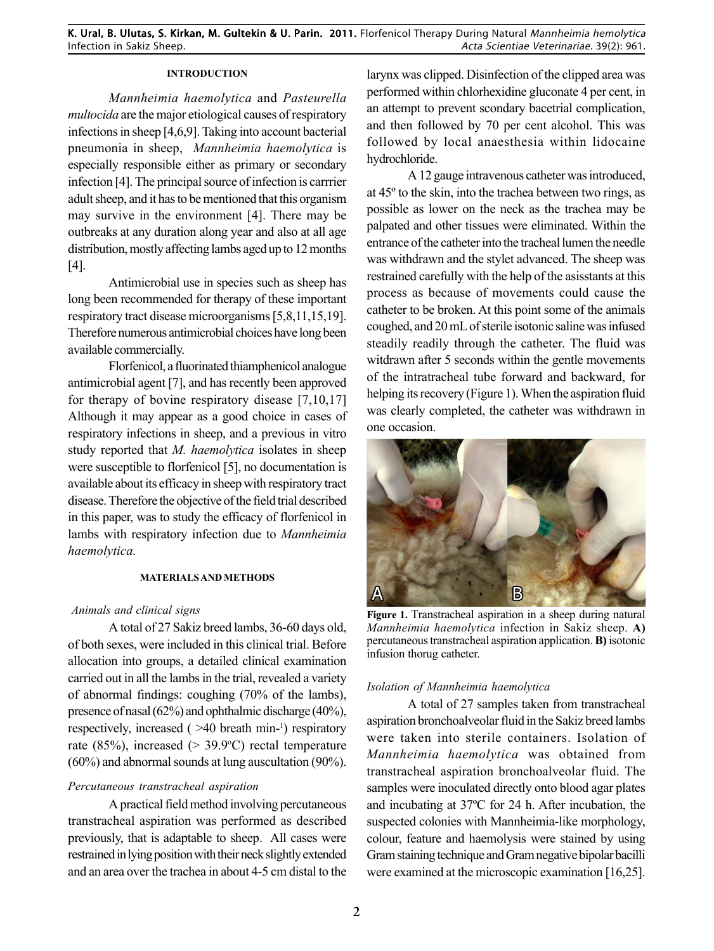# **INTRODUCTION**

*Mannheimia haemolytica* and *Pasteurella multocida* are the major etiological causes of respiratory infections in sheep [4,6,9]. Taking into account bacterial pneumonia in sheep, *Mannheimia haemolytica* is especially responsible either as primary or secondary infection [4]. The principal source of infection is carrrier adult sheep, and it has to be mentioned that this organism may survive in the environment [4]. There may be outbreaks at any duration along year and also at all age distribution, mostly affecting lambs aged up to 12 months [4].

Antimicrobial use in species such as sheep has long been recommended for therapy of these important respiratory tract disease microorganisms [5,8,11,15,19]. Therefore numerous antimicrobial choices have long been available commercially.

Florfenicol, a fluorinated thiamphenicol analogue antimicrobial agent [7], and has recently been approved for therapy of bovine respiratory disease [7,10,17] Although it may appear as a good choice in cases of respiratory infections in sheep, and a previous in vitro study reported that *M. haemolytica* isolates in sheep were susceptible to florfenicol [5], no documentation is available about its efficacy in sheep with respiratory tract disease. Therefore the objective of the field trial described in this paper, was to study the efficacy of florfenicol in lambs with respiratory infection due to *Mannheimia haemolytica.*

### **MATERIALS AND METHODS**

### *Animals and clinical signs*

A total of 27 Sakiz breed lambs, 36-60 days old, of both sexes, were included in this clinical trial. Before allocation into groups, a detailed clinical examination carried out in all the lambs in the trial, revealed a variety of abnormal findings: coughing (70% of the lambs), presence of nasal (62%) and ophthalmic discharge (40%), respectively, increased ( >40 breath min-1 ) respiratory rate  $(85\%)$ , increased  $(> 39.9$ °C) rectal temperature (60%) and abnormal sounds at lung auscultation (90%).

### *Percutaneous transtracheal aspiration*

A practical field method involving percutaneous transtracheal aspiration was performed as described previously, that is adaptable to sheep. All cases were restrained in lying position with their neck slightly extended and an area over the trachea in about 4-5 cm distal to the

larynx was clipped. Disinfection of the clipped area was performed within chlorhexidine gluconate 4 per cent, in an attempt to prevent scondary bacetrial complication, and then followed by 70 per cent alcohol. This was followed by local anaesthesia within lidocaine hydrochloride.

A 12 gauge intravenous catheter was introduced, at 45º to the skin, into the trachea between two rings, as possible as lower on the neck as the trachea may be palpated and other tissues were eliminated. Within the entrance of the catheter into the tracheal lumen the needle was withdrawn and the stylet advanced. The sheep was restrained carefully with the help of the asisstants at this process as because of movements could cause the catheter to be broken. At this point some of the animals coughed, and 20 mL of sterile isotonic saline was infused steadily readily through the catheter. The fluid was witdrawn after 5 seconds within the gentle movements of the intratracheal tube forward and backward, for helping its recovery (Figure 1). When the aspiration fluid was clearly completed, the catheter was withdrawn in one occasion.



**Figure 1.** Transtracheal aspiration in a sheep during natural *Mannheimia haemolytica* infection in Sakiz sheep. **A)** percutaneous transtracheal aspiration application. **B)** isotonic infusion thorug catheter.

### *Isolation of Mannheimia haemolytica*

**FFigura 2** transtracheal aspiration bronchoalveolar fluid. The A total of 27 samples taken from transtracheal aspiration bronchoalveolar fluid in the Sakiz breed lambs were taken into sterile containers. Isolation of *Mannheimia haemolytica* was obtained from samples were inoculated directly onto blood agar plates and incubating at 37ºC for 24 h. After incubation, the suspected colonies with Mannheimia-like morphology, colour, feature and haemolysis were stained by using Gram staining technique and Gram negative bipolar bacilli were examined at the microscopic examination [16,25].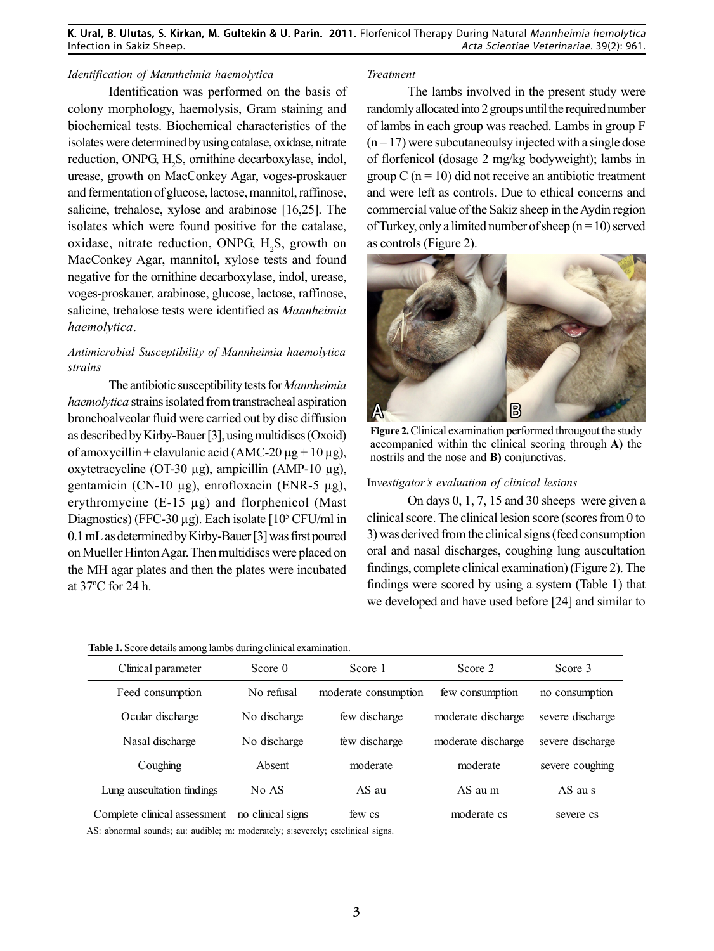# *Identification of Mannheimia haemolytica*

Identification was performed on the basis of colony morphology, haemolysis, Gram staining and biochemical tests. Biochemical characteristics of the isolates were determined by using catalase, oxidase, nitrate reduction, ONPG,  $H_2S$ , ornithine decarboxylase, indol, urease, growth on MacConkey Agar, voges-proskauer and fermentation of glucose, lactose, mannitol, raffinose, salicine, trehalose, xylose and arabinose [16,25]. The isolates which were found positive for the catalase, oxidase, nitrate reduction, ONPG,  $H_2S$ , growth on MacConkey Agar, mannitol, xylose tests and found negative for the ornithine decarboxylase, indol, urease, voges-proskauer, arabinose, glucose, lactose, raffinose, salicine, trehalose tests were identified as *Mannheimia haemolytica*.

# *Antimicrobial Susceptibility of Mannheimia haemolytica strains*

The antibiotic susceptibility tests for *Mannheimia haemolytica* strains isolated from transtracheal aspiration bronchoalveolar fluid were carried out by disc diffusion as described by Kirby-Bauer [3], using multidiscs (Oxoid) of amoxycillin + clavulanic acid (AMC-20  $\mu$ g + 10  $\mu$ g), oxytetracycline (OT-30 µg), ampicillin (AMP-10 µg), gentamicin (CN-10 µg), enrofloxacin (ENR-5 µg), erythromycine (E-15 µg) and florphenicol (Mast Diagnostics) (FFC-30  $\mu$ g). Each isolate [10<sup>5</sup> CFU/ml in 0.1 mL as determined by Kirby-Bauer [3] was first poured on Mueller Hinton Agar. Then multidiscs were placed on the MH agar plates and then the plates were incubated at 37ºC for 24 h.

**Table 1.** Score details among lambs during clinical examination.

#### *Treatment*

The lambs involved in the present study were randomly allocated into 2 groups until the required number of lambs in each group was reached. Lambs in group F  $(n=17)$  were subcutaneoulsy injected with a single dose of florfenicol (dosage 2 mg/kg bodyweight); lambs in group  $C$  (n = 10) did not receive an antibiotic treatment and were left as controls. Due to ethical concerns and commercial value of the Sakiz sheep in the Aydin region of Turkey, only a limited number of sheep  $(n = 10)$  served as controls (Figure 2).



**Figure 2.**Clinical examination performed througout the study accompanied within the clinical scoring through **A)** the nostrils and the nose and **B)** conjunctivas.

#### In*vestigator's evaluation of clinical lesions*

On days 0, 1, 7, 15 and 30 sheeps were given a clinical score. The clinical lesion score (scores from 0 to 3) was derived from the clinical signs (feed consumption oral and nasal discharges, coughing lung auscultation findings, complete clinical examination) (Figure 2). The findings were scored by using a system (Table 1) that we developed and have used before [24] and similar to

| Clinical parameter           | Score 0           | Score 2<br>Score 1   |                    | Score 3          |  |
|------------------------------|-------------------|----------------------|--------------------|------------------|--|
| Feed consumption             | No refusal        | moderate consumption | few consumption    | no consumption   |  |
| Ocular discharge             | No discharge      | few discharge        | moderate discharge | severe discharge |  |
| Nasal discharge              | No discharge      | few discharge        | moderate discharge | severe discharge |  |
| Coughing                     | Absent            | moderate             | moderate           | severe coughing  |  |
| Lung auscultation findings   | No AS             | AS au                | $AS$ au m          | AS au s          |  |
| Complete clinical assessment | no clinical signs | few cs               | moderate cs        | severe cs        |  |

AS: abnormal sounds; au: audible; m: moderately; s:severely; cs:clinical signs.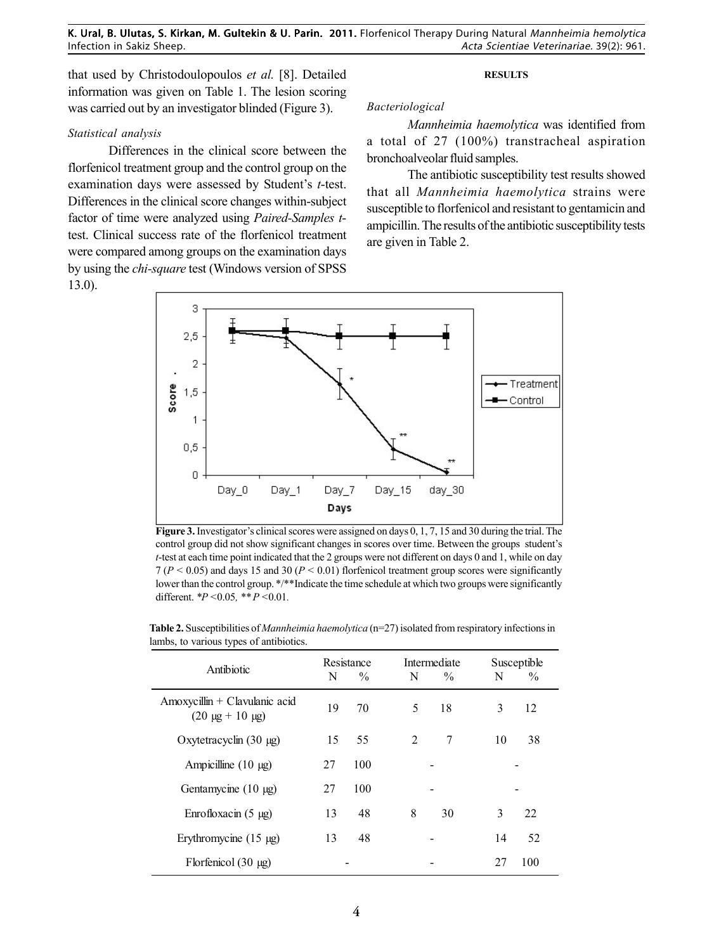that used by Christodoulopoulos *et al.* [8]. Detailed information was given on Table 1. The lesion scoring was carried out by an investigator blinded (Figure 3).

# *Statistical analysis*

Differences in the clinical score between the florfenicol treatment group and the control group on the examination days were assessed by Student's *t*-test. Differences in the clinical score changes within-subject factor of time were analyzed using *Paired-Samples t*test. Clinical success rate of the florfenicol treatment were compared among groups on the examination days by using the *chi-square* test (Windows version of SPSS 13.0).

#### **RESULTS**

# *Bacteriological*

*Mannheimia haemolytica* was identified from a total of 27 (100%) transtracheal aspiration bronchoalveolar fluid samples.

The antibiotic susceptibility test results showed that all *Mannheimia haemolytica* strains were susceptible to florfenicol and resistant to gentamicin and ampicillin. The results of the antibiotic susceptibility tests are given in Table 2.



**Figure 3.** Investigator's clinical scores were assigned on days 0, 1, 7, 15 and 30 during the trial. The control group did not show significant changes in scores over time. Between the groups student's *t*-test at each time point indicated that the 2 groups were not different on days 0 and 1, while on day  $7 (P < 0.05)$  and days 15 and 30 ( $P < 0.01$ ) florfenicol treatment group scores were significantly lower than the control group. \*/\*\*Indicate the time schedule at which two groups were significantly different. *\*P <*0.05*, \*\* P <*0.01*.*

| Antibiotic                                               | N  | Resistance<br>$\frac{0}{0}$ | Intermediate<br>N<br>$\frac{0}{0}$ | N  | Susceptible<br>$\%$ |
|----------------------------------------------------------|----|-----------------------------|------------------------------------|----|---------------------|
| Amoxycillin + Clavulanic acid<br>$(20 \mu g + 10 \mu g)$ | 19 | 70                          | 18<br>5                            | 3  | 12                  |
| Oxytetracyclin $(30 \mu g)$                              | 15 | 55                          | 2<br>7                             | 10 | 38                  |
| Ampicilline $(10 \mu g)$                                 | 27 | 100                         |                                    |    |                     |
| Gentamycine $(10 \mu g)$                                 | 27 | 100                         |                                    |    |                     |
| Enrofloxacin $(5 \mu g)$                                 | 13 | 48                          | 8<br>30                            | 3  | 22                  |
| Erythromycine $(15 \mu g)$                               | 13 | 48                          |                                    | 14 | 52                  |
| Florfenicol $(30 \mu g)$                                 |    |                             |                                    | 27 | 100                 |

Table 2. Susceptibilities of *Mannheimia haemolytica* (n=27) isolated from respiratory infections in lambs, to various types of antibiotics.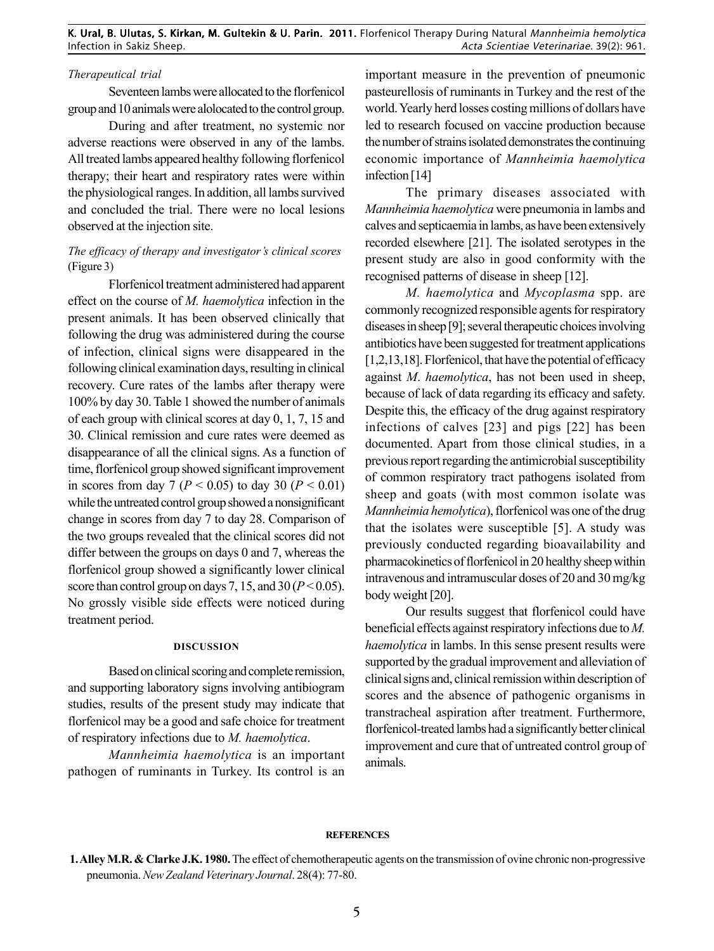# *Therapeutical trial*

Seventeen lambs were allocated to the florfenicol group and 10 animals were alolocated to the control group.

During and after treatment, no systemic nor adverse reactions were observed in any of the lambs. All treated lambs appeared healthy following florfenicol therapy; their heart and respiratory rates were within the physiological ranges. In addition, all lambs survived and concluded the trial. There were no local lesions observed at the injection site.

# *The efficacy of therapy and investigator's clinical scores* (Figure 3)

Florfenicol treatment administered had apparent effect on the course of *M. haemolytica* infection in the present animals. It has been observed clinically that following the drug was administered during the course of infection, clinical signs were disappeared in the following clinical examination days, resulting in clinical recovery. Cure rates of the lambs after therapy were 100% by day 30. Table 1 showed the number of animals of each group with clinical scores at day 0, 1, 7, 15 and 30. Clinical remission and cure rates were deemed as disappearance of all the clinical signs. As a function of time, florfenicol group showed significant improvement in scores from day 7 ( $P < 0.05$ ) to day 30 ( $P < 0.01$ ) while the untreated control group showed a nonsignificant change in scores from day 7 to day 28. Comparison of the two groups revealed that the clinical scores did not differ between the groups on days 0 and 7, whereas the florfenicol group showed a significantly lower clinical score than control group on days 7, 15, and 30 ( $P < 0.05$ ). No grossly visible side effects were noticed during treatment period.

#### **DISCUSSION**

Based on clinical scoring and complete remission, and supporting laboratory signs involving antibiogram studies, results of the present study may indicate that florfenicol may be a good and safe choice for treatment of respiratory infections due to *M. haemolytica*.

*Mannheimia haemolytica* is an important pathogen of ruminants in Turkey. Its control is an

important measure in the prevention of pneumonic pasteurellosis of ruminants in Turkey and the rest of the world. Yearly herd losses costing millions of dollars have led to research focused on vaccine production because the number of strains isolated demonstrates the continuing economic importance of *Mannheimia haemolytica* infection [14]

The primary diseases associated with *Mannheimia haemolytica* were pneumonia in lambs and calves and septicaemia in lambs, as have been extensively recorded elsewhere [21]. The isolated serotypes in the present study are also in good conformity with the recognised patterns of disease in sheep [12].

sheep and goats (with most common isolate was *M. haemolytica* and *Mycoplasma* spp. are commonly recognized responsible agents for respiratory diseases in sheep [9]; several therapeutic choices involving antibiotics have been suggested for treatment applications [1,2,13,18]. Florfenicol, that have the potential of efficacy against *M*. *haemolytica*, has not been used in sheep, because of lack of data regarding its efficacy and safety. Despite this, the efficacy of the drug against respiratory infections of calves [23] and pigs [22] has been documented. Apart from those clinical studies, in a previous report regarding the antimicrobial susceptibility of common respiratory tract pathogens isolated from *Mannheimia hemolytica*), florfenicol was one of the drug that the isolates were susceptible [5]. A study was previously conducted regarding bioavailability and pharmacokinetics of florfenicol in 20 healthy sheep within intravenous and intramuscular doses of 20 and 30 mg/kg body weight [20].

Our results suggest that florfenicol could have beneficial effects against respiratory infections due to *M. haemolytica* in lambs. In this sense present results were supported by the gradual improvement and alleviation of clinical signs and, clinical remission within description of scores and the absence of pathogenic organisms in transtracheal aspiration after treatment. Furthermore, florfenicol-treated lambs had a significantly better clinical improvement and cure that of untreated control group of animals.

### **REFERENCES**

**<sup>1.</sup> Alley M.R. & Clarke J.K. 1980.** The effect of chemotherapeutic agents on the transmission of ovine chronic non-progressive pneumonia. *New Zealand Veterinary Journal*. 28(4): 77-80.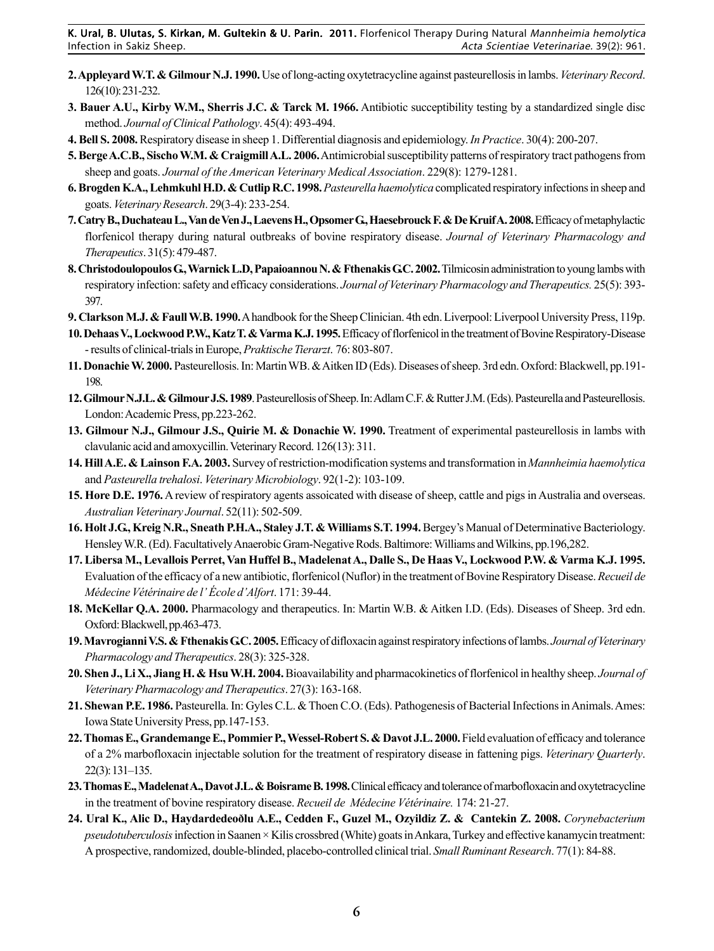- **2. Appleyard W.T. & Gilmour N.J. 1990.** Use of long-acting oxytetracycline against pasteurellosis in lambs. *Veterinary Record*. 126(10): 231-232.
- **3. Bauer A.U., Kirby W.M., Sherris J.C. & Tarck M. 1966.** Antibiotic succeptibility testing by a standardized single disc method. *Journal of Clinical Pathology*. 45(4): 493-494.
- **4. Bell S. 2008.** Respiratory disease in sheep 1. Differential diagnosis and epidemiology. *In Practice*. 30(4): 200-207.
- **5. Berge A.C.B., Sischo W.M. & Craigmill A.L. 2006.** Antimicrobial susceptibility patterns of respiratory tract pathogens from sheep and goats. *Journal of the American Veterinary Medical Association*. 229(8): 1279-1281.
- **6. Brogden K.A., Lehmkuhl H.D. & Cutlip R.C. 1998.***Pasteurella haemolytica* complicated respiratory infections in sheep and goats. *Veterinary Research*. 29(3-4): 233-254.
- **7. Catry B., Duchateau L., Van de Ven J., Laevens H., Opsomer G., Haesebrouck F. & De Kruif A. 2008.** Efficacy of metaphylactic florfenicol therapy during natural outbreaks of bovine respiratory disease. *Journal of Veterinary Pharmacology and Therapeutics*. 31(5): 479-487.
- **8. Christodoulopoulos G., Warnick L.D, Papaioannou N. & Fthenakis G.C. 2002.** Tilmicosin administration to young lambs with respiratory infection: safety and efficacy considerations. *Journal of Veterinary Pharmacology and Therapeutics.* 25(5): 393- 397.
- **9. Clarkson M.J. & Faull W.B. 1990.** A handbook for the Sheep Clinician. 4th edn. Liverpool: Liverpool University Press, 119p.
- **10. Dehaas V., Lockwood P.W., Katz T. & Varma K.J. 1995.** Efficacy of florfenicol in the treatment of Bovine Respiratory-Disease - results of clinical-trials in Europe, *Praktische Tierarzt*. 76: 803-807.
- **11. Donachie W. 2000.** Pasteurellosis. In: Martin WB. & Aitken ID (Eds). Diseases of sheep. 3rd edn. Oxford: Blackwell, pp.191- 198.
- **12. Gilmour N.J.L. & Gilmour J.S. 1989**. Pasteurellosis of Sheep. In: Adlam C.F. & Rutter J.M. (Eds). Pasteurella and Pasteurellosis. London: Academic Press, pp.223-262.
- **13. Gilmour N.J., Gilmour J.S., Quirie M. & Donachie W. 1990.** Treatment of experimental pasteurellosis in lambs with clavulanic acid and amoxycillin. Veterinary Record. 126(13): 311.
- **14. Hill A.E. & Lainson F.A. 2003.** Survey of restriction-modification systems and transformation in *Mannheimia haemolytica* and *Pasteurella trehalosi*. *Veterinary Microbiology*. 92(1-2): 103-109.
- **15. Hore D.E. 1976.** A review of respiratory agents assoicated with disease of sheep, cattle and pigs in Australia and overseas. *Australian Veterinary Journal*. 52(11): 502-509.
- **16. Holt J.G., Kreig N.R., Sneath P.H.A., Staley J.T. & Williams S.T. 1994.** Bergey's Manual of Determinative Bacteriology. Hensley W.R. (Ed). Facultatively Anaerobic Gram-Negative Rods. Baltimore: Williams and Wilkins, pp.196,282.
- **17. Libersa M., Levallois Perret, Van Huffel B., Madelenat A., Dalle S., De Haas V., Lockwood P.W. & Varma K.J. 1995.** Evaluation of the efficacy of a new antibiotic, florfenicol (Nuflor) in the treatment of Bovine Respiratory Disease. *Recueil de Médecine Vétérinaire de l' École d'Alfort*. 171: 39-44.
- **18. McKellar Q.A. 2000.** Pharmacology and therapeutics. In: Martin W.B. & Aitken I.D. (Eds). Diseases of Sheep. 3rd edn. Oxford: Blackwell, pp.463-473.
- **19. Mavrogianni V.S. & Fthenakis G.C. 2005.** Efficacy of difloxacin against respiratory infections of lambs. *Journal of Veterinary Pharmacology and Therapeutics*. 28(3): 325-328.
- **20. Shen J., Li X., Jiang H. & Hsu W.H. 2004.** Bioavailability and pharmacokinetics of florfenicol in healthy sheep. *Journal of Veterinary Pharmacology and Therapeutics*. 27(3): 163-168.
- **21. Shewan P.E. 1986.** Pasteurella. In: Gyles C.L. & Thoen C.O. (Eds). Pathogenesis of Bacterial Infections in Animals. Ames: Iowa State University Press, pp.147-153.
- **22. Thomas E., Grandemange E., Pommier P., Wessel-Robert S. & Davot J.L. 2000.** Field evaluation of efficacy and tolerance of a 2% marbofloxacin injectable solution for the treatment of respiratory disease in fattening pigs. *Veterinary Quarterly*. 22(3): 131–135.
- **23. Thomas E., Madelenat A., Davot J.L. & Boisrame B. 1998.** Clinical efficacy and tolerance of marbofloxacin and oxytetracycline in the treatment of bovine respiratory disease. *Recueil de Médecine Vétérinaire.* 174: 21-27.
- **24. Ural K., Alic D., Haydardedeoðlu A.E., Cedden F., Guzel M., Ozyildiz Z. & Cantekin Z. 2008.** *Corynebacterium pseudotuberculosis* infection in Saanen × Kilis crossbred (White) goats in Ankara, Turkey and effective kanamycin treatment: A prospective, randomized, double-blinded, placebo-controlled clinical trial. *Small Ruminant Research*. 77(1): 84-88.